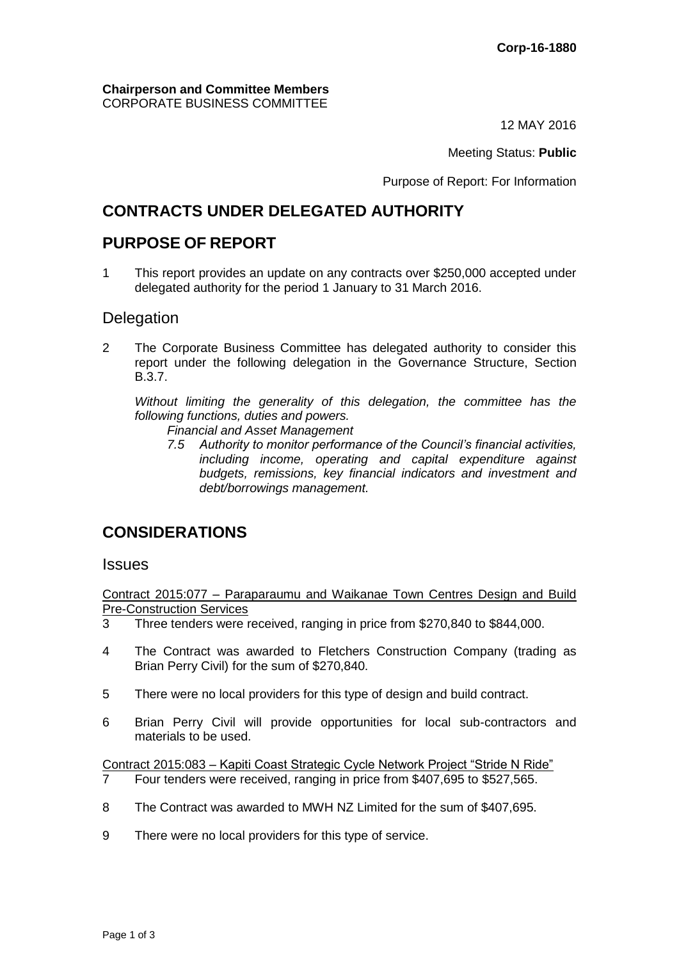#### **Chairperson and Committee Members** CORPORATE BUSINESS COMMITTEE

12 MAY 2016

Meeting Status: **Public**

Purpose of Report: For Information

# **CONTRACTS UNDER DELEGATED AUTHORITY**

## **PURPOSE OF REPORT**

1 This report provides an update on any contracts over \$250,000 accepted under delegated authority for the period 1 January to 31 March 2016.

#### **Delegation**

2 The Corporate Business Committee has delegated authority to consider this report under the following delegation in the Governance Structure, Section B.3.7.

*Without limiting the generality of this delegation, the committee has the following functions, duties and powers.*

- *Financial and Asset Management*
- *7.5 Authority to monitor performance of the Council's financial activities, including income, operating and capital expenditure against budgets, remissions, key financial indicators and investment and debt/borrowings management.*

## **CONSIDERATIONS**

#### **Issues**

Contract 2015:077 – Paraparaumu and Waikanae Town Centres Design and Build Pre-Construction Services

- 3 Three tenders were received, ranging in price from \$270,840 to \$844,000.
- 4 The Contract was awarded to Fletchers Construction Company (trading as Brian Perry Civil) for the sum of \$270,840.
- 5 There were no local providers for this type of design and build contract.
- 6 Brian Perry Civil will provide opportunities for local sub-contractors and materials to be used.

Contract 2015:083 – Kapiti Coast Strategic Cycle Network Project "Stride N Ride" 7 Four tenders were received, ranging in price from \$407,695 to \$527,565.

- 8 The Contract was awarded to MWH NZ Limited for the sum of \$407,695.
- 9 There were no local providers for this type of service.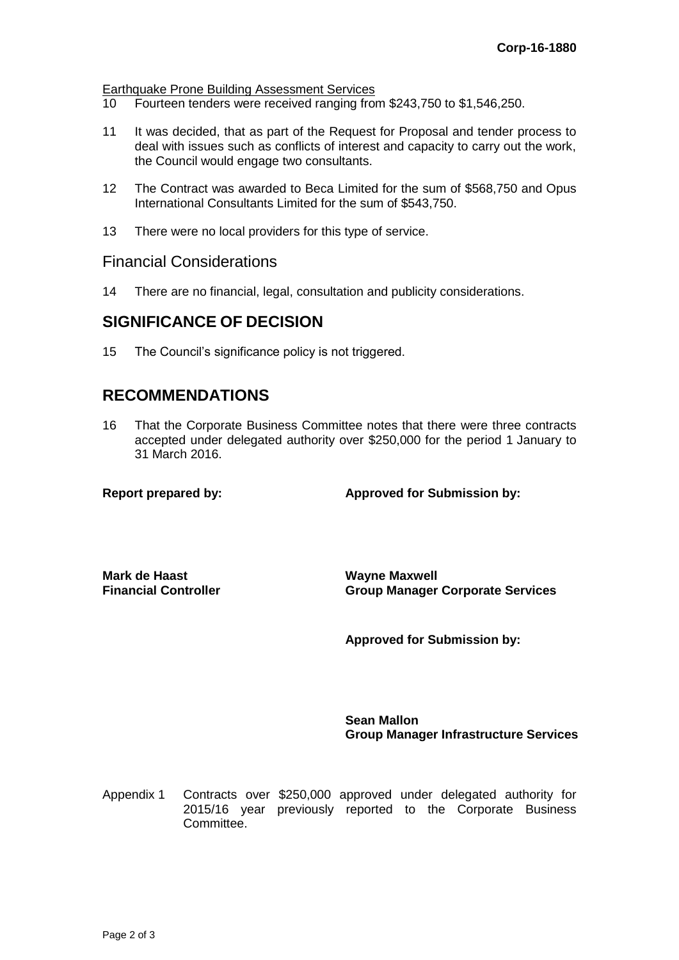Earthquake Prone Building Assessment Services

- 10 Fourteen tenders were received ranging from \$243,750 to \$1,546,250.
- 11 It was decided, that as part of the Request for Proposal and tender process to deal with issues such as conflicts of interest and capacity to carry out the work, the Council would engage two consultants.
- 12 The Contract was awarded to Beca Limited for the sum of \$568,750 and Opus International Consultants Limited for the sum of \$543,750.
- 13 There were no local providers for this type of service.

#### Financial Considerations

14 There are no financial, legal, consultation and publicity considerations.

### **SIGNIFICANCE OF DECISION**

15 The Council's significance policy is not triggered.

### **RECOMMENDATIONS**

16 That the Corporate Business Committee notes that there were three contracts accepted under delegated authority over \$250,000 for the period 1 January to 31 March 2016.

**Report prepared by: Approved for Submission by:**

**Mark de Haast Financial Controller** **Wayne Maxwell Group Manager Corporate Services**

**Approved for Submission by:**

**Sean Mallon Group Manager Infrastructure Services**

Appendix 1 Contracts over \$250,000 approved under delegated authority for 2015/16 year previously reported to the Corporate Business Committee.